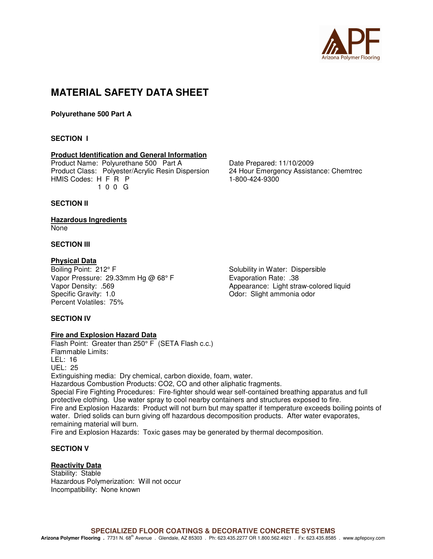

# **MATERIAL SAFETY DATA SHEET**

**Polyurethane 500 Part A** 

# **SECTION I**

# **Product Identification and General Information**

Product Name: Polyurethane 500 Part A Date Prepared: 11/10/2009 Product Class: Polyester/Acrylic Resin Dispersion 24 Hour Emergency Assistance: Chemtrec HMIS Codes: H F R P 1-800-424-9300 1 0 0 G

#### **SECTION II**

#### **Hazardous Ingredients**  None

# **SECTION III**

**Physical Data**<br>Boiling Point: 212° F Vapor Pressure: 29.33mm Hg @ 68° F Evaporation Rate: .38 Vapor Density: .569 <br>
Specific Gravity: 1.0 <br>
Odor: Slight ammonia odor<br>
Odor: Slight ammonia odor Percent Volatiles: 75%

Solubility in Water: Dispersible Odor: Slight ammonia odor

# **SECTION IV**

#### **Fire and Explosion Hazard Data**

Flash Point: Greater than 250° F (SETA Flash c.c.) Flammable Limits: LEL: 16 UEL: 25 Extinguishing media: Dry chemical, carbon dioxide, foam, water. Hazardous Combustion Products: CO2, CO and other aliphatic fragments. Special Fire Fighting Procedures: Fire-fighter should wear self-contained breathing apparatus and full protective clothing. Use water spray to cool nearby containers and structures exposed to fire. Fire and Explosion Hazards: Product will not burn but may spatter if temperature exceeds boiling points of water. Dried solids can burn giving off hazardous decomposition products. After water evaporates, remaining material will burn. Fire and Explosion Hazards: Toxic gases may be generated by thermal decomposition.

# **SECTION V**

# **Reactivity Data**

Stability: Stable Hazardous Polymerization: Will not occur Incompatibility: None known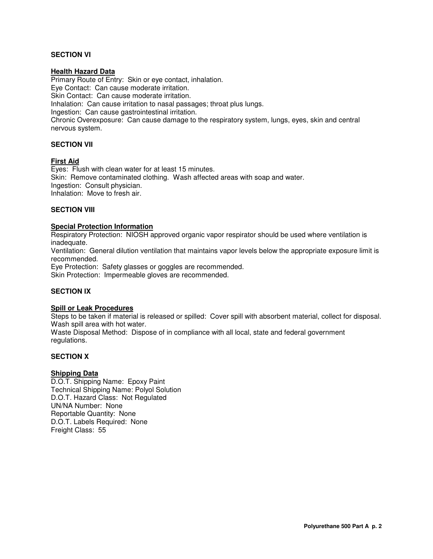# **SECTION VI**

#### **Health Hazard Data**

Primary Route of Entry: Skin or eye contact, inhalation. Eye Contact: Can cause moderate irritation. Skin Contact: Can cause moderate irritation. Inhalation: Can cause irritation to nasal passages; throat plus lungs. Ingestion: Can cause gastrointestinal irritation. Chronic Overexposure: Can cause damage to the respiratory system, lungs, eyes, skin and central nervous system.

## **SECTION VII**

#### **First Aid**

Eyes: Flush with clean water for at least 15 minutes. Skin: Remove contaminated clothing. Wash affected areas with soap and water. Ingestion: Consult physician. Inhalation: Move to fresh air.

#### **SECTION VIII**

#### **Special Protection Information**

Respiratory Protection: NIOSH approved organic vapor respirator should be used where ventilation is inadequate.

Ventilation: General dilution ventilation that maintains vapor levels below the appropriate exposure limit is recommended.

Eye Protection: Safety glasses or goggles are recommended. Skin Protection: Impermeable gloves are recommended.

#### **SECTION IX**

#### **Spill or Leak Procedures**

Steps to be taken if material is released or spilled: Cover spill with absorbent material, collect for disposal. Wash spill area with hot water.

Waste Disposal Method: Dispose of in compliance with all local, state and federal government regulations.

#### **SECTION X**

#### **Shipping Data**

D.O.T. Shipping Name: Epoxy Paint Technical Shipping Name: Polyol Solution D.O.T. Hazard Class: Not Regulated UN/NA Number: None Reportable Quantity: None D.O.T. Labels Required: None Freight Class: 55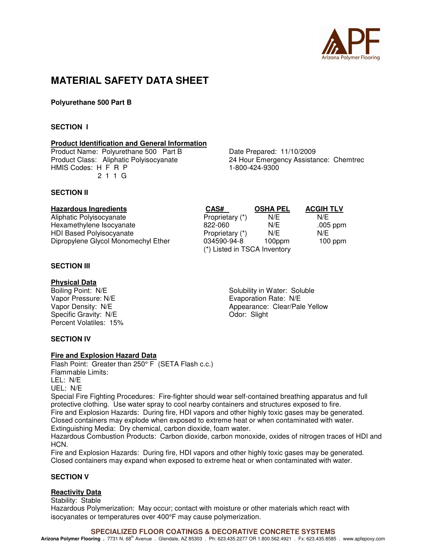

# **MATERIAL SAFETY DATA SHEET**

**Polyurethane 500 Part B** 

## **SECTION I**

#### **Product Identification and General Information**

Product Name: Polyurethane 500 Part B Date Prepared: 11/10/2009<br>Product Class: Aliphatic Polyisocyanate 24 Hour Emergency Assistal HMIS Codes: H F R P 1-800-424-9300 2 1 1 G

24 Hour Emergency Assistance: Chemtrec

#### **SECTION II**

#### **Hazardous Ingredients CAS# OSHA PEL ACGIH TLV**

Aliphatic Polyisocyanate **Proprietary (\*)** N/E N/E N/E Hexamethylene Isocyanate **822-060** N/E .005 ppm HDI Based Polyisocyanate Proprietary (\*) N/E N/E Dipropylene Glycol Monomechyl Ether

# **SECTION III**

**Physical Data**<br>Boiling Point: N/E Vapor Pressure: N/E<br>
Vapor Density: N/E<br>
Vapor Density: N/E<br>
Vapor Density: N/E Specific Gravity: N/E Odor: Slight Percent Volatiles: 15%

Boiling Point: N/E<br>
Vapor Pressure: N/E<br>
Vapor Pressure: N/E<br>
Solubility in Water: Soluble<br>
Evaporation Rate: N/E Appearance: Clear/Pale Yellow

(\*) Listed in TSCA Inventory

# **SECTION IV**

#### **Fire and Explosion Hazard Data**

Flash Point: Greater than 250° F (SETA Flash c.c.) Flammable Limits: LEL: N/E UEL: N/E Special Fire Fighting Procedures: Fire-fighter should wear self-contained breathing apparatus and full

protective clothing. Use water spray to cool nearby containers and structures exposed to fire. Fire and Explosion Hazards: During fire, HDI vapors and other highly toxic gases may be generated. Closed containers may explode when exposed to extreme heat or when contaminated with water. Extinguishing Media: Dry chemical, carbon dioxide, foam water.

Hazardous Combustion Products: Carbon dioxide, carbon monoxide, oxides of nitrogen traces of HDI and **HCN** 

Fire and Explosion Hazards: During fire, HDI vapors and other highly toxic gases may be generated. Closed containers may expand when exposed to extreme heat or when contaminated with water.

## **SECTION V**

#### **Reactivity Data**

Stability: Stable Hazardous Polymerization: May occur; contact with moisture or other materials which react with isocyanates or temperatures over 400°F may cause polymerization.